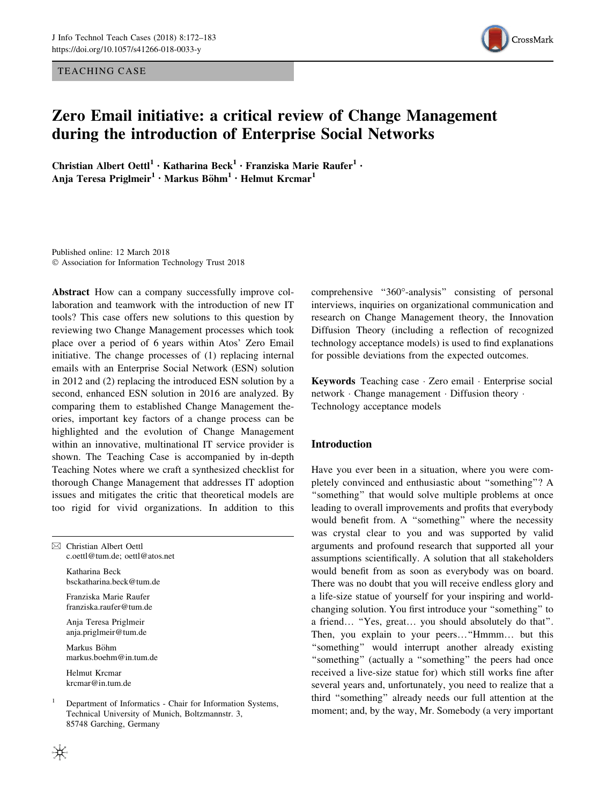TEACHING CASE



# Zero Email initiative: a critical review of Change Management during the introduction of Enterprise Social Networks

Christian Albert Oettl<sup>1</sup> · Katharina Beck<sup>1</sup> · Franziska Marie Raufer<sup>1</sup> · Anja Teresa Priglmeir<sup>1</sup> · Markus Böhm<sup>1</sup> · Helmut Krcmar<sup>1</sup>

Published online: 12 March 2018 - Association for Information Technology Trust 2018

Abstract How can a company successfully improve collaboration and teamwork with the introduction of new IT tools? This case offers new solutions to this question by reviewing two Change Management processes which took place over a period of 6 years within Atos' Zero Email initiative. The change processes of (1) replacing internal emails with an Enterprise Social Network (ESN) solution in 2012 and (2) replacing the introduced ESN solution by a second, enhanced ESN solution in 2016 are analyzed. By comparing them to established Change Management theories, important key factors of a change process can be highlighted and the evolution of Change Management within an innovative, multinational IT service provider is shown. The Teaching Case is accompanied by in-depth Teaching Notes where we craft a synthesized checklist for thorough Change Management that addresses IT adoption issues and mitigates the critic that theoretical models are too rigid for vivid organizations. In addition to this

 $\boxtimes$  Christian Albert Oettl c.oettl@tum.de; oettl@atos.net Katharina Beck bsckatharina.beck@tum.de Franziska Marie Raufer franziska.raufer@tum.de Anja Teresa Priglmeir anja.priglmeir@tum.de Markus Böhm markus.boehm@in.tum.de Helmut Krcmar krcmar@in.tum.de <sup>1</sup> Department of Informatics - Chair for Information Systems,

Technical University of Munich, Boltzmannstr. 3,

85748 Garching, Germany

comprehensive ''360-analysis'' consisting of personal interviews, inquiries on organizational communication and research on Change Management theory, the Innovation Diffusion Theory (including a reflection of recognized technology acceptance models) is used to find explanations for possible deviations from the expected outcomes.

Keywords Teaching case - Zero email - Enterprise social network - Change management - Diffusion theory - Technology acceptance models

# Introduction

Have you ever been in a situation, where you were completely convinced and enthusiastic about ''something''? A "something" that would solve multiple problems at once leading to overall improvements and profits that everybody would benefit from. A ''something'' where the necessity was crystal clear to you and was supported by valid arguments and profound research that supported all your assumptions scientifically. A solution that all stakeholders would benefit from as soon as everybody was on board. There was no doubt that you will receive endless glory and a life-size statue of yourself for your inspiring and worldchanging solution. You first introduce your ''something'' to a friend… ''Yes, great… you should absolutely do that''. Then, you explain to your peers…''Hmmm… but this ''something'' would interrupt another already existing "something" (actually a "something" the peers had once received a live-size statue for) which still works fine after several years and, unfortunately, you need to realize that a third ''something'' already needs our full attention at the moment; and, by the way, Mr. Somebody (a very important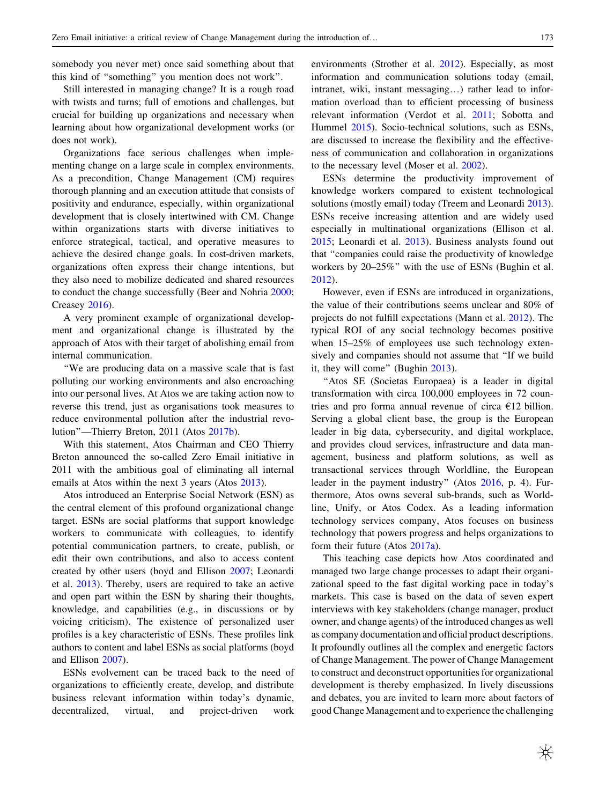somebody you never met) once said something about that this kind of ''something'' you mention does not work''.

Still interested in managing change? It is a rough road with twists and turns; full of emotions and challenges, but crucial for building up organizations and necessary when learning about how organizational development works (or does not work).

Organizations face serious challenges when implementing change on a large scale in complex environments. As a precondition, Change Management (CM) requires thorough planning and an execution attitude that consists of positivity and endurance, especially, within organizational development that is closely intertwined with CM. Change within organizations starts with diverse initiatives to enforce strategical, tactical, and operative measures to achieve the desired change goals. In cost-driven markets, organizations often express their change intentions, but they also need to mobilize dedicated and shared resources to conduct the change successfully (Beer and Nohria [2000](#page-10-0); Creasey [2016\)](#page-10-0).

A very prominent example of organizational development and organizational change is illustrated by the approach of Atos with their target of abolishing email from internal communication.

''We are producing data on a massive scale that is fast polluting our working environments and also encroaching into our personal lives. At Atos we are taking action now to reverse this trend, just as organisations took measures to reduce environmental pollution after the industrial revolution''—Thierry Breton, 2011 (Atos [2017b](#page-10-0)).

With this statement, Atos Chairman and CEO Thierry Breton announced the so-called Zero Email initiative in 2011 with the ambitious goal of eliminating all internal emails at Atos within the next 3 years (Atos [2013](#page-10-0)).

Atos introduced an Enterprise Social Network (ESN) as the central element of this profound organizational change target. ESNs are social platforms that support knowledge workers to communicate with colleagues, to identify potential communication partners, to create, publish, or edit their own contributions, and also to access content created by other users (boyd and Ellison [2007](#page-10-0); Leonardi et al. [2013](#page-10-0)). Thereby, users are required to take an active and open part within the ESN by sharing their thoughts, knowledge, and capabilities (e.g., in discussions or by voicing criticism). The existence of personalized user profiles is a key characteristic of ESNs. These profiles link authors to content and label ESNs as social platforms (boyd and Ellison [2007](#page-10-0)).

ESNs evolvement can be traced back to the need of organizations to efficiently create, develop, and distribute business relevant information within today's dynamic, decentralized, virtual, and project-driven work environments (Strother et al. [2012](#page-10-0)). Especially, as most information and communication solutions today (email, intranet, wiki, instant messaging…) rather lead to information overload than to efficient processing of business relevant information (Verdot et al. [2011](#page-10-0); Sobotta and Hummel [2015](#page-10-0)). Socio-technical solutions, such as ESNs, are discussed to increase the flexibility and the effectiveness of communication and collaboration in organizations to the necessary level (Moser et al. [2002\)](#page-10-0).

ESNs determine the productivity improvement of knowledge workers compared to existent technological solutions (mostly email) today (Treem and Leonardi [2013](#page-10-0)). ESNs receive increasing attention and are widely used especially in multinational organizations (Ellison et al. [2015](#page-10-0); Leonardi et al. [2013](#page-10-0)). Business analysts found out that ''companies could raise the productivity of knowledge workers by 20–25%'' with the use of ESNs (Bughin et al. [2012](#page-10-0)).

However, even if ESNs are introduced in organizations, the value of their contributions seems unclear and 80% of projects do not fulfill expectations (Mann et al. [2012\)](#page-10-0). The typical ROI of any social technology becomes positive when 15–25% of employees use such technology extensively and companies should not assume that ''If we build it, they will come'' (Bughin [2013\)](#page-10-0).

''Atos SE (Societas Europaea) is a leader in digital transformation with circa 100,000 employees in 72 countries and pro forma annual revenue of circa  $E12$  billion. Serving a global client base, the group is the European leader in big data, cybersecurity, and digital workplace, and provides cloud services, infrastructure and data management, business and platform solutions, as well as transactional services through Worldline, the European leader in the payment industry'' (Atos [2016,](#page-10-0) p. 4). Furthermore, Atos owns several sub-brands, such as Worldline, Unify, or Atos Codex. As a leading information technology services company, Atos focuses on business technology that powers progress and helps organizations to form their future (Atos [2017a\)](#page-10-0).

This teaching case depicts how Atos coordinated and managed two large change processes to adapt their organizational speed to the fast digital working pace in today's markets. This case is based on the data of seven expert interviews with key stakeholders (change manager, product owner, and change agents) of the introduced changes as well as company documentation and official product descriptions. It profoundly outlines all the complex and energetic factors of Change Management. The power of Change Management to construct and deconstruct opportunities for organizational development is thereby emphasized. In lively discussions and debates, you are invited to learn more about factors of good Change Management and to experience the challenging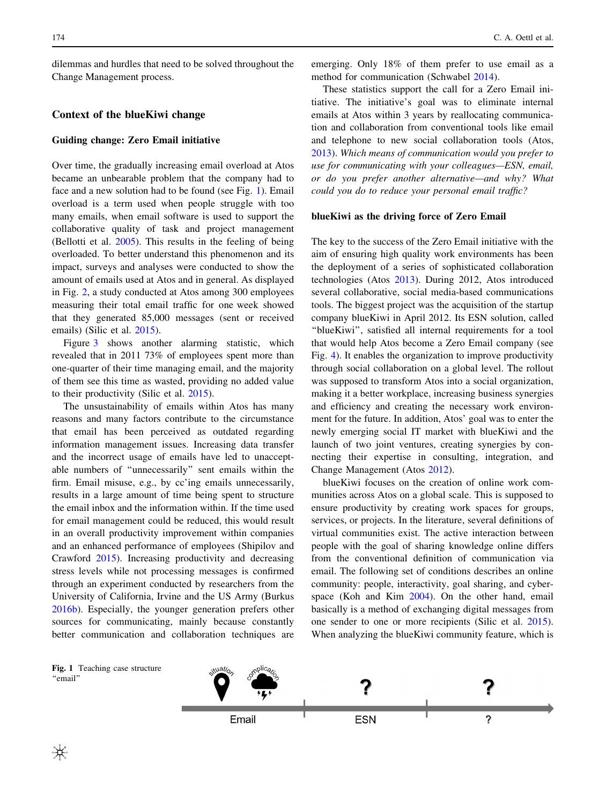dilemmas and hurdles that need to be solved throughout the Change Management process.

## Context of the blueKiwi change

## Guiding change: Zero Email initiative

Over time, the gradually increasing email overload at Atos became an unbearable problem that the company had to face and a new solution had to be found (see Fig. 1). Email overload is a term used when people struggle with too many emails, when email software is used to support the collaborative quality of task and project management (Bellotti et al. [2005](#page-10-0)). This results in the feeling of being overloaded. To better understand this phenomenon and its impact, surveys and analyses were conducted to show the amount of emails used at Atos and in general. As displayed in Fig. [2,](#page-3-0) a study conducted at Atos among 300 employees measuring their total email traffic for one week showed that they generated 85,000 messages (sent or received emails) (Silic et al. [2015\)](#page-10-0).

Figure [3](#page-3-0) shows another alarming statistic, which revealed that in 2011 73% of employees spent more than one-quarter of their time managing email, and the majority of them see this time as wasted, providing no added value to their productivity (Silic et al. [2015\)](#page-10-0).

The unsustainability of emails within Atos has many reasons and many factors contribute to the circumstance that email has been perceived as outdated regarding information management issues. Increasing data transfer and the incorrect usage of emails have led to unacceptable numbers of ''unnecessarily'' sent emails within the firm. Email misuse, e.g., by cc'ing emails unnecessarily, results in a large amount of time being spent to structure the email inbox and the information within. If the time used for email management could be reduced, this would result in an overall productivity improvement within companies and an enhanced performance of employees (Shipilov and Crawford [2015](#page-10-0)). Increasing productivity and decreasing stress levels while not processing messages is confirmed through an experiment conducted by researchers from the University of California, Irvine and the US Army (Burkus [2016b\)](#page-10-0). Especially, the younger generation prefers other sources for communicating, mainly because constantly better communication and collaboration techniques are emerging. Only 18% of them prefer to use email as a method for communication (Schwabel [2014\)](#page-10-0).

These statistics support the call for a Zero Email initiative. The initiative's goal was to eliminate internal emails at Atos within 3 years by reallocating communication and collaboration from conventional tools like email and telephone to new social collaboration tools (Atos, [2013](#page-10-0)). Which means of communication would you prefer to use for communicating with your colleagues—ESN, email, or do you prefer another alternative—and why? What could you do to reduce your personal email traffic?

#### blueKiwi as the driving force of Zero Email

The key to the success of the Zero Email initiative with the aim of ensuring high quality work environments has been the deployment of a series of sophisticated collaboration technologies (Atos [2013\)](#page-10-0). During 2012, Atos introduced several collaborative, social media-based communications tools. The biggest project was the acquisition of the startup company blueKiwi in April 2012. Its ESN solution, called ''blueKiwi'', satisfied all internal requirements for a tool that would help Atos become a Zero Email company (see Fig. [4](#page-3-0)). It enables the organization to improve productivity through social collaboration on a global level. The rollout was supposed to transform Atos into a social organization, making it a better workplace, increasing business synergies and efficiency and creating the necessary work environment for the future. In addition, Atos' goal was to enter the newly emerging social IT market with blueKiwi and the launch of two joint ventures, creating synergies by connecting their expertise in consulting, integration, and Change Management (Atos [2012](#page-10-0)).

blueKiwi focuses on the creation of online work communities across Atos on a global scale. This is supposed to ensure productivity by creating work spaces for groups, services, or projects. In the literature, several definitions of virtual communities exist. The active interaction between people with the goal of sharing knowledge online differs from the conventional definition of communication via email. The following set of conditions describes an online community: people, interactivity, goal sharing, and cyberspace (Koh and Kim [2004](#page-10-0)). On the other hand, email basically is a method of exchanging digital messages from one sender to one or more recipients (Silic et al. [2015](#page-10-0)). When analyzing the blueKiwi community feature, which is

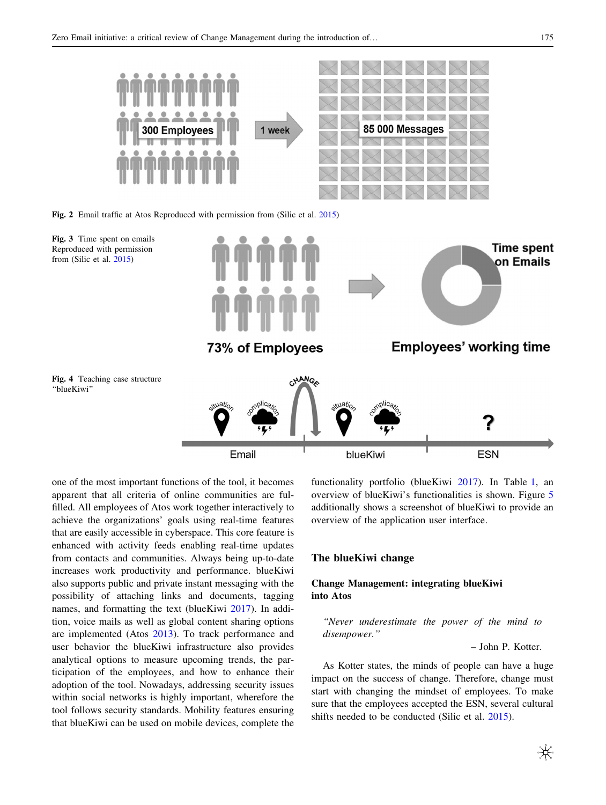<span id="page-3-0"></span>

Fig. 2 Email traffic at Atos Reproduced with permission from (Silic et al. [2015\)](#page-10-0)



one of the most important functions of the tool, it becomes apparent that all criteria of online communities are fulfilled. All employees of Atos work together interactively to achieve the organizations' goals using real-time features that are easily accessible in cyberspace. This core feature is enhanced with activity feeds enabling real-time updates from contacts and communities. Always being up-to-date increases work productivity and performance. blueKiwi also supports public and private instant messaging with the possibility of attaching links and documents, tagging names, and formatting the text (blueKiwi [2017\)](#page-10-0). In addition, voice mails as well as global content sharing options are implemented (Atos [2013](#page-10-0)). To track performance and user behavior the blueKiwi infrastructure also provides analytical options to measure upcoming trends, the participation of the employees, and how to enhance their adoption of the tool. Nowadays, addressing security issues within social networks is highly important, wherefore the tool follows security standards. Mobility features ensuring that blueKiwi can be used on mobile devices, complete the functionality portfolio (blueKiwi [2017\)](#page-10-0). In Table [1,](#page-4-0) an overview of blueKiwi's functionalities is shown. Figure [5](#page-4-0) additionally shows a screenshot of blueKiwi to provide an overview of the application user interface.

# The blueKiwi change

# Change Management: integrating blueKiwi into Atos

''Never underestimate the power of the mind to disempower.''

– John P. Kotter.

As Kotter states, the minds of people can have a huge impact on the success of change. Therefore, change must start with changing the mindset of employees. To make sure that the employees accepted the ESN, several cultural shifts needed to be conducted (Silic et al. [2015\)](#page-10-0).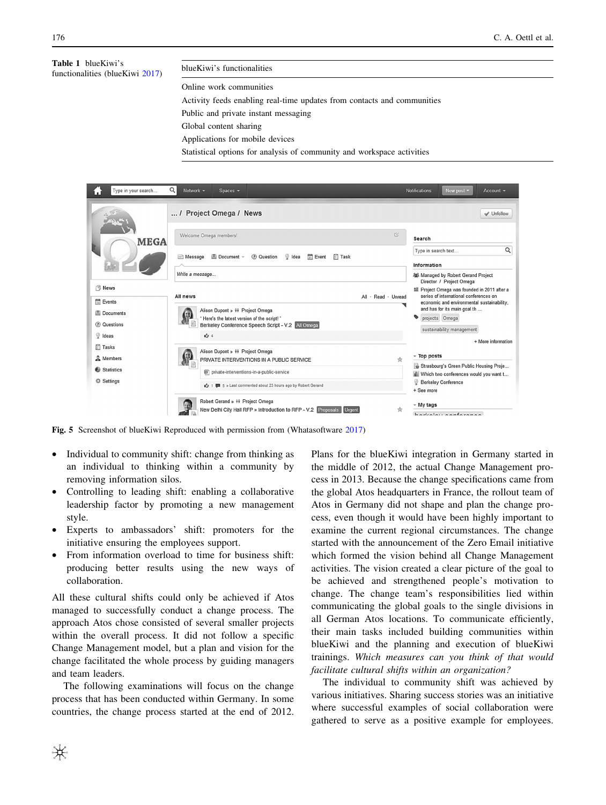<span id="page-4-0"></span>Table 1 blueKiwi's **Table 1** blueKiwi's blueKiwi blueKiwi's functionalities (blueKiwi [2017\)](#page-10-0)

Online work communities

Activity feeds enabling real-time updates from contacts and communities

Public and private instant messaging

Global content sharing

Applications for mobile devices

Statistical options for analysis of community and workspace activities

| Type in your search            | Q<br>Network $\sim$<br>Spaces $\sim$                                                                                                       | <b>Notifications</b><br>New post -<br>Account $\sim$                                                                                                                                                              |
|--------------------------------|--------------------------------------------------------------------------------------------------------------------------------------------|-------------------------------------------------------------------------------------------------------------------------------------------------------------------------------------------------------------------|
| <b>MEGA</b>                    | Project Omega / News                                                                                                                       | Munfollow                                                                                                                                                                                                         |
|                                | $\overline{C}$<br>Welcome Omega members!                                                                                                   | Search                                                                                                                                                                                                            |
|                                | ■ Document ~<br>2 Question<br>$\mathbb{R}$ Idea<br>$\frac{1}{31}$ Event<br><b>Fill</b> Task<br><b>Message</b>                              | Q<br>Type in search text<br>Information                                                                                                                                                                           |
|                                | Write a message                                                                                                                            | <b>然</b> Managed by Robert Gerand Project                                                                                                                                                                         |
| <b>News</b><br>$51$ Events     | All news<br>All · Read · Unread                                                                                                            | Director / Project Omega<br>望 Project Omega was founded in 2011 after a<br>series of international conferences on<br>economic and environmental sustainability,<br>and has for its main goal th<br>projects Omega |
| Documents<br>2 Questions       | Alison Dupont » <i>ii</i> Project Omega<br>"Here's the latest version of the script!"<br>Berkeley Conference Speech Script - V.2 All Omega |                                                                                                                                                                                                                   |
| V Ideas                        | 64                                                                                                                                         | sustainability management<br>+ More information                                                                                                                                                                   |
| <b>Fill Tasks</b><br>& Members | Alison Dupont » <i>ii</i> Project Omega<br>PRIVATE INTERVENTIONS IN A PUBLIC SERVICE<br>☆                                                  | - Top posts                                                                                                                                                                                                       |
| Statistics<br>Settings         | e private-interventions-in-a-public-service                                                                                                | Strasbourg's Green Public Housing Proje<br>Which two conferences would you want t<br><b>Berkeley Conference</b><br>+ See more                                                                                     |
|                                | 1   5 > Last commented about 23 hours ago by Robert Gerand                                                                                 |                                                                                                                                                                                                                   |
|                                | Robert Gerand » ii Project Omega<br>New Delhi City Hall RFP » Introduction to RFP - V.2 Proposals Urgent                                   | $-$ My tags<br>harialay conference                                                                                                                                                                                |

Fig. 5 Screenshot of blueKiwi Reproduced with permission from (Whatasoftware [2017\)](#page-10-0)

- Individual to community shift: change from thinking as an individual to thinking within a community by removing information silos.
- Controlling to leading shift: enabling a collaborative leadership factor by promoting a new management style.
- Experts to ambassadors' shift: promoters for the initiative ensuring the employees support.
- From information overload to time for business shift: producing better results using the new ways of collaboration.

All these cultural shifts could only be achieved if Atos managed to successfully conduct a change process. The approach Atos chose consisted of several smaller projects within the overall process. It did not follow a specific Change Management model, but a plan and vision for the change facilitated the whole process by guiding managers and team leaders.

The following examinations will focus on the change process that has been conducted within Germany. In some countries, the change process started at the end of 2012.

Plans for the blueKiwi integration in Germany started in the middle of 2012, the actual Change Management process in 2013. Because the change specifications came from the global Atos headquarters in France, the rollout team of Atos in Germany did not shape and plan the change process, even though it would have been highly important to examine the current regional circumstances. The change started with the announcement of the Zero Email initiative which formed the vision behind all Change Management activities. The vision created a clear picture of the goal to be achieved and strengthened people's motivation to change. The change team's responsibilities lied within communicating the global goals to the single divisions in all German Atos locations. To communicate efficiently, their main tasks included building communities within blueKiwi and the planning and execution of blueKiwi trainings. Which measures can you think of that would facilitate cultural shifts within an organization?

The individual to community shift was achieved by various initiatives. Sharing success stories was an initiative where successful examples of social collaboration were gathered to serve as a positive example for employees.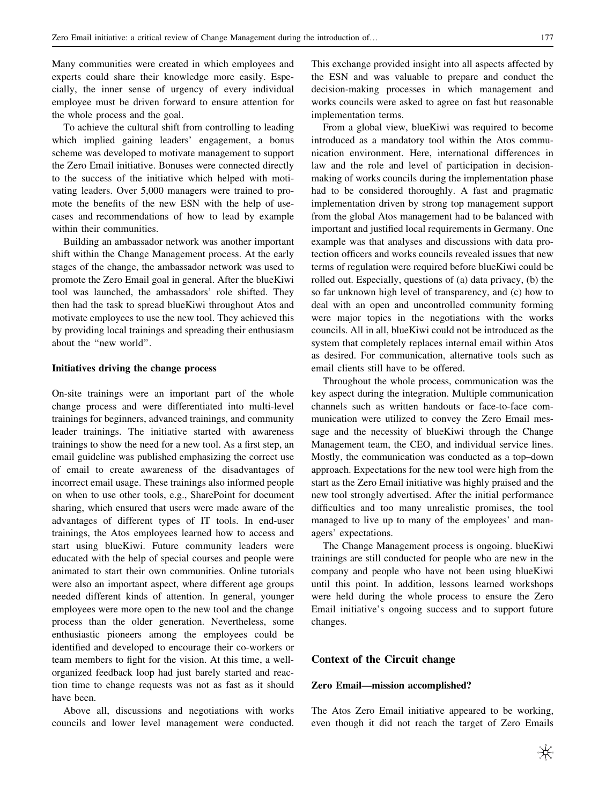Many communities were created in which employees and experts could share their knowledge more easily. Especially, the inner sense of urgency of every individual employee must be driven forward to ensure attention for the whole process and the goal.

To achieve the cultural shift from controlling to leading which implied gaining leaders' engagement, a bonus scheme was developed to motivate management to support the Zero Email initiative. Bonuses were connected directly to the success of the initiative which helped with motivating leaders. Over 5,000 managers were trained to promote the benefits of the new ESN with the help of usecases and recommendations of how to lead by example within their communities.

Building an ambassador network was another important shift within the Change Management process. At the early stages of the change, the ambassador network was used to promote the Zero Email goal in general. After the blueKiwi tool was launched, the ambassadors' role shifted. They then had the task to spread blueKiwi throughout Atos and motivate employees to use the new tool. They achieved this by providing local trainings and spreading their enthusiasm about the ''new world''.

## Initiatives driving the change process

On-site trainings were an important part of the whole change process and were differentiated into multi-level trainings for beginners, advanced trainings, and community leader trainings. The initiative started with awareness trainings to show the need for a new tool. As a first step, an email guideline was published emphasizing the correct use of email to create awareness of the disadvantages of incorrect email usage. These trainings also informed people on when to use other tools, e.g., SharePoint for document sharing, which ensured that users were made aware of the advantages of different types of IT tools. In end-user trainings, the Atos employees learned how to access and start using blueKiwi. Future community leaders were educated with the help of special courses and people were animated to start their own communities. Online tutorials were also an important aspect, where different age groups needed different kinds of attention. In general, younger employees were more open to the new tool and the change process than the older generation. Nevertheless, some enthusiastic pioneers among the employees could be identified and developed to encourage their co-workers or team members to fight for the vision. At this time, a wellorganized feedback loop had just barely started and reaction time to change requests was not as fast as it should have been.

Above all, discussions and negotiations with works councils and lower level management were conducted.

This exchange provided insight into all aspects affected by the ESN and was valuable to prepare and conduct the decision-making processes in which management and works councils were asked to agree on fast but reasonable implementation terms.

From a global view, blueKiwi was required to become introduced as a mandatory tool within the Atos communication environment. Here, international differences in law and the role and level of participation in decisionmaking of works councils during the implementation phase had to be considered thoroughly. A fast and pragmatic implementation driven by strong top management support from the global Atos management had to be balanced with important and justified local requirements in Germany. One example was that analyses and discussions with data protection officers and works councils revealed issues that new terms of regulation were required before blueKiwi could be rolled out. Especially, questions of (a) data privacy, (b) the so far unknown high level of transparency, and (c) how to deal with an open and uncontrolled community forming were major topics in the negotiations with the works councils. All in all, blueKiwi could not be introduced as the system that completely replaces internal email within Atos as desired. For communication, alternative tools such as email clients still have to be offered.

Throughout the whole process, communication was the key aspect during the integration. Multiple communication channels such as written handouts or face-to-face communication were utilized to convey the Zero Email message and the necessity of blueKiwi through the Change Management team, the CEO, and individual service lines. Mostly, the communication was conducted as a top–down approach. Expectations for the new tool were high from the start as the Zero Email initiative was highly praised and the new tool strongly advertised. After the initial performance difficulties and too many unrealistic promises, the tool managed to live up to many of the employees' and managers' expectations.

The Change Management process is ongoing. blueKiwi trainings are still conducted for people who are new in the company and people who have not been using blueKiwi until this point. In addition, lessons learned workshops were held during the whole process to ensure the Zero Email initiative's ongoing success and to support future changes.

## Context of the Circuit change

# Zero Email—mission accomplished?

The Atos Zero Email initiative appeared to be working, even though it did not reach the target of Zero Emails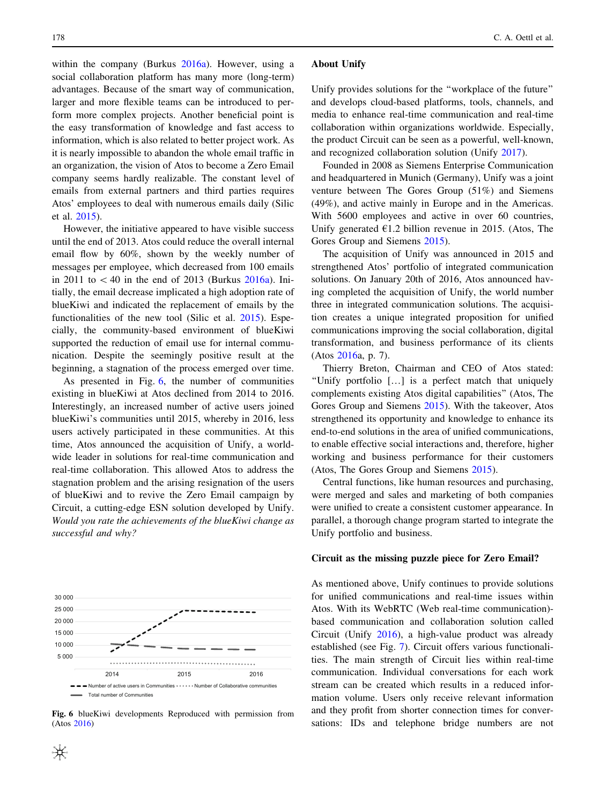within the company (Burkus [2016a\)](#page-10-0). However, using a social collaboration platform has many more (long-term) advantages. Because of the smart way of communication, larger and more flexible teams can be introduced to perform more complex projects. Another beneficial point is the easy transformation of knowledge and fast access to information, which is also related to better project work. As it is nearly impossible to abandon the whole email traffic in an organization, the vision of Atos to become a Zero Email company seems hardly realizable. The constant level of emails from external partners and third parties requires Atos' employees to deal with numerous emails daily (Silic et al. [2015\)](#page-10-0).

However, the initiative appeared to have visible success until the end of 2013. Atos could reduce the overall internal email flow by 60%, shown by the weekly number of messages per employee, which decreased from 100 emails in 2011 to  $\lt$  40 in the end of 2013 (Burkus [2016a\)](#page-10-0). Initially, the email decrease implicated a high adoption rate of blueKiwi and indicated the replacement of emails by the functionalities of the new tool (Silic et al. [2015](#page-10-0)). Especially, the community-based environment of blueKiwi supported the reduction of email use for internal communication. Despite the seemingly positive result at the beginning, a stagnation of the process emerged over time.

As presented in Fig. 6, the number of communities existing in blueKiwi at Atos declined from 2014 to 2016. Interestingly, an increased number of active users joined blueKiwi's communities until 2015, whereby in 2016, less users actively participated in these communities. At this time, Atos announced the acquisition of Unify, a worldwide leader in solutions for real-time communication and real-time collaboration. This allowed Atos to address the stagnation problem and the arising resignation of the users of blueKiwi and to revive the Zero Email campaign by Circuit, a cutting-edge ESN solution developed by Unify. Would you rate the achievements of the blueKiwi change as successful and why?



Fig. 6 blueKiwi developments Reproduced with permission from (Atos [2016\)](#page-10-0)

#### About Unify

Unify provides solutions for the ''workplace of the future'' and develops cloud-based platforms, tools, channels, and media to enhance real-time communication and real-time collaboration within organizations worldwide. Especially, the product Circuit can be seen as a powerful, well-known, and recognized collaboration solution (Unify [2017\)](#page-10-0).

Founded in 2008 as Siemens Enterprise Communication and headquartered in Munich (Germany), Unify was a joint venture between The Gores Group (51%) and Siemens (49%), and active mainly in Europe and in the Americas. With 5600 employees and active in over 60 countries, Unify generated  $\epsilon$ 1.2 billion revenue in 2015. (Atos, The Gores Group and Siemens [2015](#page-10-0)).

The acquisition of Unify was announced in 2015 and strengthened Atos' portfolio of integrated communication solutions. On January 20th of 2016, Atos announced having completed the acquisition of Unify, the world number three in integrated communication solutions. The acquisition creates a unique integrated proposition for unified communications improving the social collaboration, digital transformation, and business performance of its clients (Atos [2016a](#page-10-0), p. 7).

Thierry Breton, Chairman and CEO of Atos stated: ''Unify portfolio […] is a perfect match that uniquely complements existing Atos digital capabilities'' (Atos, The Gores Group and Siemens [2015\)](#page-10-0). With the takeover, Atos strengthened its opportunity and knowledge to enhance its end-to-end solutions in the area of unified communications, to enable effective social interactions and, therefore, higher working and business performance for their customers (Atos, The Gores Group and Siemens [2015\)](#page-10-0).

Central functions, like human resources and purchasing, were merged and sales and marketing of both companies were unified to create a consistent customer appearance. In parallel, a thorough change program started to integrate the Unify portfolio and business.

#### Circuit as the missing puzzle piece for Zero Email?

As mentioned above, Unify continues to provide solutions for unified communications and real-time issues within Atos. With its WebRTC (Web real-time communication) based communication and collaboration solution called Circuit (Unify [2016\)](#page-10-0), a high-value product was already established (see Fig. [7\)](#page-7-0). Circuit offers various functionalities. The main strength of Circuit lies within real-time communication. Individual conversations for each work stream can be created which results in a reduced information volume. Users only receive relevant information and they profit from shorter connection times for conversations: IDs and telephone bridge numbers are not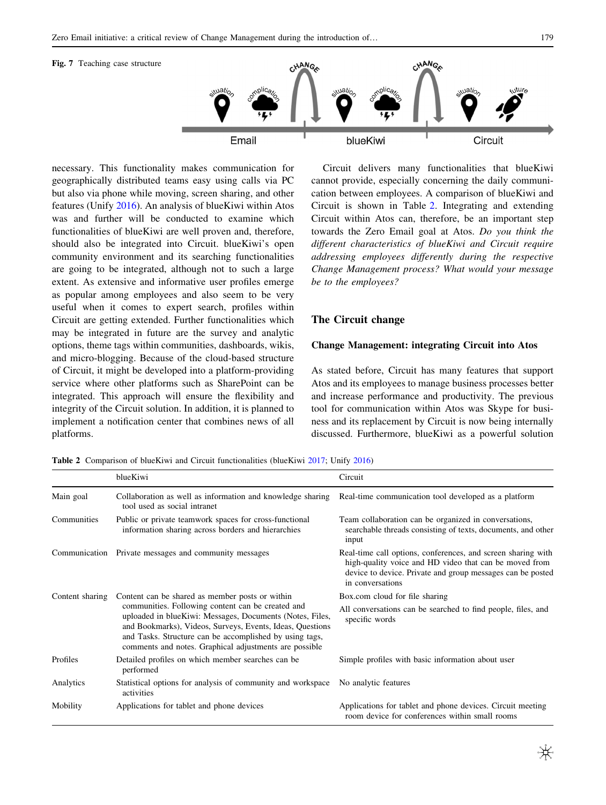<span id="page-7-0"></span>

necessary. This functionality makes communication for geographically distributed teams easy using calls via PC but also via phone while moving, screen sharing, and other features (Unify [2016](#page-10-0)). An analysis of blueKiwi within Atos was and further will be conducted to examine which functionalities of blueKiwi are well proven and, therefore, should also be integrated into Circuit. blueKiwi's open community environment and its searching functionalities are going to be integrated, although not to such a large extent. As extensive and informative user profiles emerge as popular among employees and also seem to be very useful when it comes to expert search, profiles within Circuit are getting extended. Further functionalities which may be integrated in future are the survey and analytic options, theme tags within communities, dashboards, wikis, and micro-blogging. Because of the cloud-based structure of Circuit, it might be developed into a platform-providing service where other platforms such as SharePoint can be integrated. This approach will ensure the flexibility and integrity of the Circuit solution. In addition, it is planned to implement a notification center that combines news of all platforms.

Circuit delivers many functionalities that blueKiwi cannot provide, especially concerning the daily communication between employees. A comparison of blueKiwi and Circuit is shown in Table 2. Integrating and extending Circuit within Atos can, therefore, be an important step towards the Zero Email goal at Atos. Do you think the different characteristics of blueKiwi and Circuit require addressing employees differently during the respective Change Management process? What would your message be to the employees?

# The Circuit change

## Change Management: integrating Circuit into Atos

As stated before, Circuit has many features that support Atos and its employees to manage business processes better and increase performance and productivity. The previous tool for communication within Atos was Skype for business and its replacement by Circuit is now being internally discussed. Furthermore, blueKiwi as a powerful solution

Table 2 Comparison of blueKiwi and Circuit functionalities (blueKiwi [2017;](#page-10-0) Unify [2016](#page-10-0))

|                 | blueKiwi                                                                                                                                                                                                                                                                                                                                           | Circuit                                                                                                                                                                                                  |
|-----------------|----------------------------------------------------------------------------------------------------------------------------------------------------------------------------------------------------------------------------------------------------------------------------------------------------------------------------------------------------|----------------------------------------------------------------------------------------------------------------------------------------------------------------------------------------------------------|
| Main goal       | Collaboration as well as information and knowledge sharing<br>tool used as social intranet                                                                                                                                                                                                                                                         | Real-time communication tool developed as a platform                                                                                                                                                     |
| Communities     | Public or private teamwork spaces for cross-functional<br>information sharing across borders and hierarchies                                                                                                                                                                                                                                       | Team collaboration can be organized in conversations,<br>searchable threads consisting of texts, documents, and other<br>input                                                                           |
| Communication   | Private messages and community messages                                                                                                                                                                                                                                                                                                            | Real-time call options, conferences, and screen sharing with<br>high-quality voice and HD video that can be moved from<br>device to device. Private and group messages can be posted<br>in conversations |
| Content sharing | Content can be shared as member posts or within<br>communities. Following content can be created and<br>uploaded in blueKiwi: Messages, Documents (Notes, Files,<br>and Bookmarks), Videos, Surveys, Events, Ideas, Questions<br>and Tasks. Structure can be accomplished by using tags,<br>comments and notes. Graphical adjustments are possible | Box.com cloud for file sharing                                                                                                                                                                           |
|                 |                                                                                                                                                                                                                                                                                                                                                    | All conversations can be searched to find people, files, and<br>specific words                                                                                                                           |
| Profiles        | Detailed profiles on which member searches can be<br>performed                                                                                                                                                                                                                                                                                     | Simple profiles with basic information about user                                                                                                                                                        |
| Analytics       | Statistical options for analysis of community and workspace<br>activities                                                                                                                                                                                                                                                                          | No analytic features                                                                                                                                                                                     |
| Mobility        | Applications for tablet and phone devices                                                                                                                                                                                                                                                                                                          | Applications for tablet and phone devices. Circuit meeting<br>room device for conferences within small rooms                                                                                             |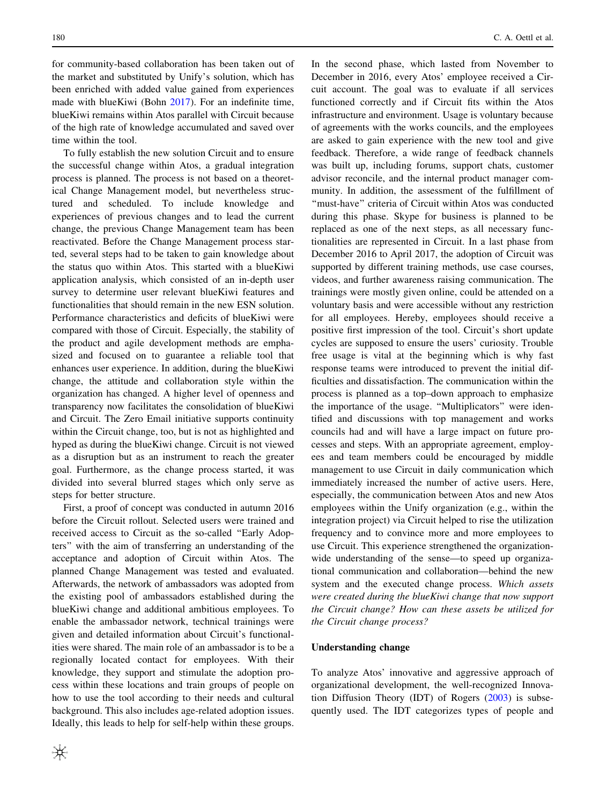for community-based collaboration has been taken out of the market and substituted by Unify's solution, which has been enriched with added value gained from experiences made with blueKiwi (Bohn [2017](#page-10-0)). For an indefinite time, blueKiwi remains within Atos parallel with Circuit because of the high rate of knowledge accumulated and saved over time within the tool.

To fully establish the new solution Circuit and to ensure the successful change within Atos, a gradual integration process is planned. The process is not based on a theoretical Change Management model, but nevertheless structured and scheduled. To include knowledge and experiences of previous changes and to lead the current change, the previous Change Management team has been reactivated. Before the Change Management process started, several steps had to be taken to gain knowledge about the status quo within Atos. This started with a blueKiwi application analysis, which consisted of an in-depth user survey to determine user relevant blueKiwi features and functionalities that should remain in the new ESN solution. Performance characteristics and deficits of blueKiwi were compared with those of Circuit. Especially, the stability of the product and agile development methods are emphasized and focused on to guarantee a reliable tool that enhances user experience. In addition, during the blueKiwi change, the attitude and collaboration style within the organization has changed. A higher level of openness and transparency now facilitates the consolidation of blueKiwi and Circuit. The Zero Email initiative supports continuity within the Circuit change, too, but is not as highlighted and hyped as during the blueKiwi change. Circuit is not viewed as a disruption but as an instrument to reach the greater goal. Furthermore, as the change process started, it was divided into several blurred stages which only serve as steps for better structure.

First, a proof of concept was conducted in autumn 2016 before the Circuit rollout. Selected users were trained and received access to Circuit as the so-called ''Early Adopters'' with the aim of transferring an understanding of the acceptance and adoption of Circuit within Atos. The planned Change Management was tested and evaluated. Afterwards, the network of ambassadors was adopted from the existing pool of ambassadors established during the blueKiwi change and additional ambitious employees. To enable the ambassador network, technical trainings were given and detailed information about Circuit's functionalities were shared. The main role of an ambassador is to be a regionally located contact for employees. With their knowledge, they support and stimulate the adoption process within these locations and train groups of people on how to use the tool according to their needs and cultural background. This also includes age-related adoption issues. Ideally, this leads to help for self-help within these groups.

In the second phase, which lasted from November to December in 2016, every Atos' employee received a Circuit account. The goal was to evaluate if all services functioned correctly and if Circuit fits within the Atos infrastructure and environment. Usage is voluntary because of agreements with the works councils, and the employees are asked to gain experience with the new tool and give feedback. Therefore, a wide range of feedback channels was built up, including forums, support chats, customer advisor reconcile, and the internal product manager community. In addition, the assessment of the fulfillment of ''must-have'' criteria of Circuit within Atos was conducted during this phase. Skype for business is planned to be replaced as one of the next steps, as all necessary functionalities are represented in Circuit. In a last phase from December 2016 to April 2017, the adoption of Circuit was supported by different training methods, use case courses, videos, and further awareness raising communication. The trainings were mostly given online, could be attended on a voluntary basis and were accessible without any restriction for all employees. Hereby, employees should receive a positive first impression of the tool. Circuit's short update cycles are supposed to ensure the users' curiosity. Trouble free usage is vital at the beginning which is why fast response teams were introduced to prevent the initial difficulties and dissatisfaction. The communication within the process is planned as a top–down approach to emphasize the importance of the usage. ''Multiplicators'' were identified and discussions with top management and works councils had and will have a large impact on future processes and steps. With an appropriate agreement, employees and team members could be encouraged by middle management to use Circuit in daily communication which immediately increased the number of active users. Here, especially, the communication between Atos and new Atos employees within the Unify organization (e.g., within the integration project) via Circuit helped to rise the utilization frequency and to convince more and more employees to use Circuit. This experience strengthened the organizationwide understanding of the sense—to speed up organizational communication and collaboration—behind the new system and the executed change process. Which assets were created during the blueKiwi change that now support the Circuit change? How can these assets be utilized for the Circuit change process?

#### Understanding change

To analyze Atos' innovative and aggressive approach of organizational development, the well-recognized Innovation Diffusion Theory (IDT) of Rogers ([2003\)](#page-10-0) is subsequently used. The IDT categorizes types of people and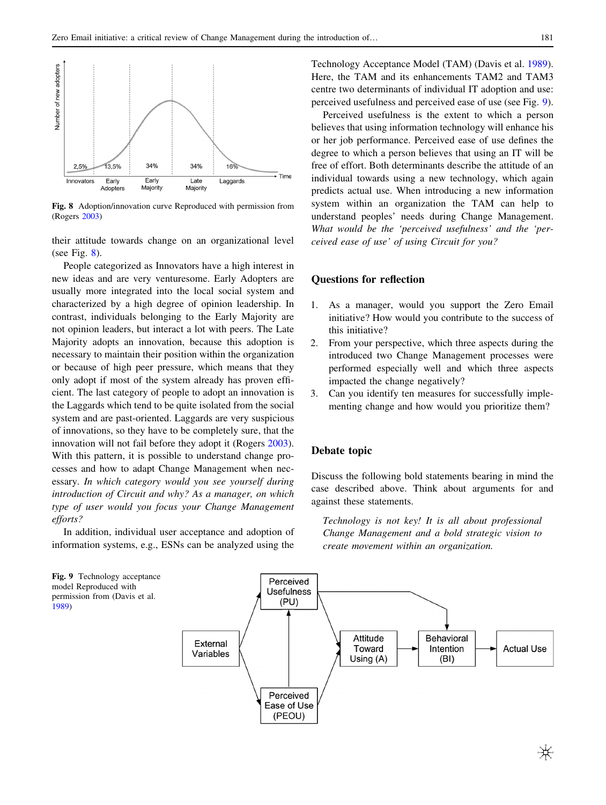

Fig. 8 Adoption/innovation curve Reproduced with permission from (Rogers [2003\)](#page-10-0)

their attitude towards change on an organizational level (see Fig.  $8$ ).

People categorized as Innovators have a high interest in new ideas and are very venturesome. Early Adopters are usually more integrated into the local social system and characterized by a high degree of opinion leadership. In contrast, individuals belonging to the Early Majority are not opinion leaders, but interact a lot with peers. The Late Majority adopts an innovation, because this adoption is necessary to maintain their position within the organization or because of high peer pressure, which means that they only adopt if most of the system already has proven efficient. The last category of people to adopt an innovation is the Laggards which tend to be quite isolated from the social system and are past-oriented. Laggards are very suspicious of innovations, so they have to be completely sure, that the innovation will not fail before they adopt it (Rogers [2003](#page-10-0)). With this pattern, it is possible to understand change processes and how to adapt Change Management when necessary. In which category would you see yourself during introduction of Circuit and why? As a manager, on which type of user would you focus your Change Management efforts?

In addition, individual user acceptance and adoption of information systems, e.g., ESNs can be analyzed using the Technology Acceptance Model (TAM) (Davis et al. [1989](#page-10-0)). Here, the TAM and its enhancements TAM2 and TAM3 centre two determinants of individual IT adoption and use: perceived usefulness and perceived ease of use (see Fig. 9).

Perceived usefulness is the extent to which a person believes that using information technology will enhance his or her job performance. Perceived ease of use defines the degree to which a person believes that using an IT will be free of effort. Both determinants describe the attitude of an individual towards using a new technology, which again predicts actual use. When introducing a new information system within an organization the TAM can help to understand peoples' needs during Change Management. What would be the 'perceived usefulness' and the 'perceived ease of use' of using Circuit for you?

# Questions for reflection

- 1. As a manager, would you support the Zero Email initiative? How would you contribute to the success of this initiative?
- 2. From your perspective, which three aspects during the introduced two Change Management processes were performed especially well and which three aspects impacted the change negatively?
- 3. Can you identify ten measures for successfully implementing change and how would you prioritize them?

#### Debate topic

Discuss the following bold statements bearing in mind the case described above. Think about arguments for and against these statements.

Technology is not key! It is all about professional Change Management and a bold strategic vision to create movement within an organization.

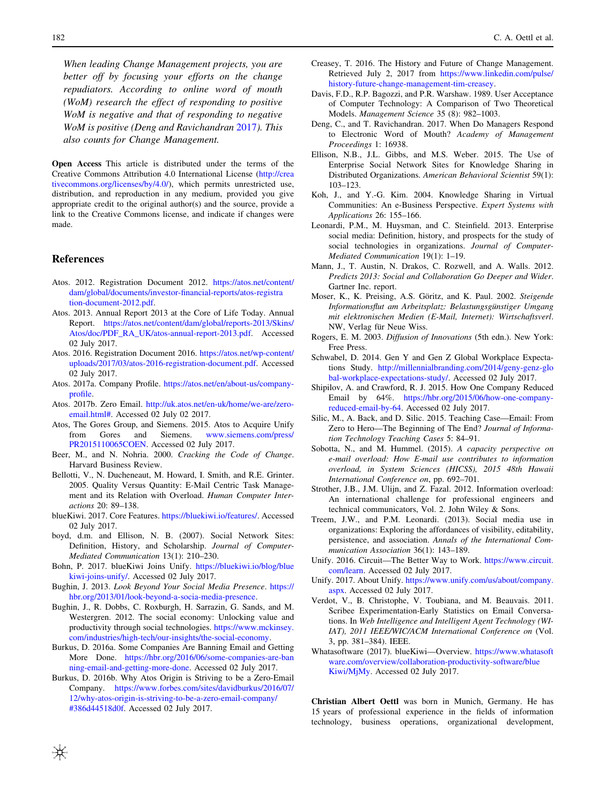<span id="page-10-0"></span>When leading Change Management projects, you are better off by focusing your efforts on the change repudiators. According to online word of mouth (WoM) research the effect of responding to positive WoM is negative and that of responding to negative WoM is positive (Deng and Ravichandran 2017). This also counts for Change Management.

Open Access This article is distributed under the terms of the Creative Commons Attribution 4.0 International License ([http://crea](http://creativecommons.org/licenses/by/4.0/) [tivecommons.org/licenses/by/4.0/\)](http://creativecommons.org/licenses/by/4.0/), which permits unrestricted use, distribution, and reproduction in any medium, provided you give appropriate credit to the original author(s) and the source, provide a link to the Creative Commons license, and indicate if changes were made.

### References

- Atos. 2012. Registration Document 2012. [https://atos.net/content/](https://atos.net/content/dam/global/documents/investor-financial-reports/atos-registration-document-2012.pdf) [dam/global/documents/investor-financial-reports/atos-registra](https://atos.net/content/dam/global/documents/investor-financial-reports/atos-registration-document-2012.pdf) [tion-document-2012.pdf.](https://atos.net/content/dam/global/documents/investor-financial-reports/atos-registration-document-2012.pdf)
- Atos. 2013. Annual Report 2013 at the Core of Life Today. Annual Report. [https://atos.net/content/dam/global/reports-2013/Skins/](https://atos.net/content/dam/global/reports-2013/Skins/Atos/doc/PDF_RA_UK/atos-annual-report-2013.pdf) [Atos/doc/PDF\\_RA\\_UK/atos-annual-report-2013.pdf.](https://atos.net/content/dam/global/reports-2013/Skins/Atos/doc/PDF_RA_UK/atos-annual-report-2013.pdf) Accessed 02 July 2017.
- Atos. 2016. Registration Document 2016. [https://atos.net/wp-content/](https://atos.net/wp-content/uploads/2017/03/atos-2016-registration-document.pdf) [uploads/2017/03/atos-2016-registration-document.pdf.](https://atos.net/wp-content/uploads/2017/03/atos-2016-registration-document.pdf) Accessed 02 July 2017.
- Atos. 2017a. Company Profile. [https://atos.net/en/about-us/company](https://atos.net/en/about-us/company-profile)[profile](https://atos.net/en/about-us/company-profile).
- Atos. 2017b. Zero Email. [http://uk.atos.net/en-uk/home/we-are/zero](http://uk.atos.net/en-uk/home/we-are/zero-email.html%23)[email.html#.](http://uk.atos.net/en-uk/home/we-are/zero-email.html%23) Accessed 02 July 02 2017.
- Atos, The Gores Group, and Siemens. 2015. Atos to Acquire Unify from Gores and Siemens. [www.siemens.com/press/](http://www.siemens.com/press/PR2015110065COEN) [PR2015110065COEN.](http://www.siemens.com/press/PR2015110065COEN) Accessed 02 July 2017.
- Beer, M., and N. Nohria. 2000. Cracking the Code of Change. Harvard Business Review.
- Bellotti, V., N. Ducheneaut, M. Howard, I. Smith, and R.E. Grinter. 2005. Quality Versus Quantity: E-Mail Centric Task Management and its Relation with Overload. Human Computer Interactions 20: 89–138.
- blueKiwi. 2017. Core Features. [https://bluekiwi.io/features/.](https://bluekiwi.io/features/) Accessed 02 July 2017.
- boyd, d.m. and Ellison, N. B. (2007). Social Network Sites: Definition, History, and Scholarship. Journal of Computer-Mediated Communication 13(1): 210–230.
- Bohn, P. 2017. blueKiwi Joins Unify. [https://bluekiwi.io/blog/blue](https://bluekiwi.io/blog/bluekiwi-joins-unify/) [kiwi-joins-unify/.](https://bluekiwi.io/blog/bluekiwi-joins-unify/) Accessed 02 July 2017.
- Bughin, J. 2013. Look Beyond Your Social Media Presence. [https://](https://hbr.org/2013/01/look-beyond-a-socia-media-presence) [hbr.org/2013/01/look-beyond-a-socia-media-presence](https://hbr.org/2013/01/look-beyond-a-socia-media-presence).
- Bughin, J., R. Dobbs, C. Roxburgh, H. Sarrazin, G. Sands, and M. Westergren. 2012. The social economy: Unlocking value and productivity through social technologies. [https://www.mckinsey.](https://www.mckinsey.com/industries/high-tech/our-insights/the-social-economy) [com/industries/high-tech/our-insights/the-social-economy.](https://www.mckinsey.com/industries/high-tech/our-insights/the-social-economy)
- Burkus, D. 2016a. Some Companies Are Banning Email and Getting More Done. [https://hbr.org/2016/06/some-companies-are-ban](https://hbr.org/2016/06/some-companies-are-banning-email-and-getting-more-done) [ning-email-and-getting-more-done](https://hbr.org/2016/06/some-companies-are-banning-email-and-getting-more-done). Accessed 02 July 2017.
- Burkus, D. 2016b. Why Atos Origin is Striving to be a Zero-Email Company. [https://www.forbes.com/sites/davidburkus/2016/07/](https://www.forbes.com/sites/davidburkus/2016/07/12/why-atos-origin-is-striving-to-be-a-zero-email-company/%23386d44518d0f) [12/why-atos-origin-is-striving-to-be-a-zero-email-company/](https://www.forbes.com/sites/davidburkus/2016/07/12/why-atos-origin-is-striving-to-be-a-zero-email-company/%23386d44518d0f) [#386d44518d0f.](https://www.forbes.com/sites/davidburkus/2016/07/12/why-atos-origin-is-striving-to-be-a-zero-email-company/%23386d44518d0f) Accessed 02 July 2017.
- Creasey, T. 2016. The History and Future of Change Management. Retrieved July 2, 2017 from [https://www.linkedin.com/pulse/](https://www.linkedin.com/pulse/history-future-change-management-tim-creasey) [history-future-change-management-tim-creasey.](https://www.linkedin.com/pulse/history-future-change-management-tim-creasey)
- Davis, F.D., R.P. Bagozzi, and P.R. Warshaw. 1989. User Acceptance of Computer Technology: A Comparison of Two Theoretical Models. Management Science 35 (8): 982–1003.
- Deng, C., and T. Ravichandran. 2017. When Do Managers Respond to Electronic Word of Mouth? Academy of Management Proceedings 1: 16938.
- Ellison, N.B., J.L. Gibbs, and M.S. Weber. 2015. The Use of Enterprise Social Network Sites for Knowledge Sharing in Distributed Organizations. American Behavioral Scientist 59(1): 103–123.
- Koh, J., and Y.-G. Kim. 2004. Knowledge Sharing in Virtual Communities: An e-Business Perspective. Expert Systems with Applications 26: 155–166.
- Leonardi, P.M., M. Huysman, and C. Steinfield. 2013. Enterprise social media: Definition, history, and prospects for the study of social technologies in organizations. Journal of Computer-Mediated Communication 19(1): 1–19.
- Mann, J., T. Austin, N. Drakos, C. Rozwell, and A. Walls. 2012. Predicts 2013: Social and Collaboration Go Deeper and Wider. Gartner Inc. report.
- Moser, K., K. Preising, A.S. Göritz, and K. Paul. 2002. Steigende Informationsflut am Arbeitsplatz: Belastungsgünstiger Umgang mit elektronischen Medien (E-Mail, Internet): Wirtschaftsverl. NW, Verlag für Neue Wiss.
- Rogers, E. M. 2003. Diffusion of Innovations (5th edn.). New York: Free Press.
- Schwabel, D. 2014. Gen Y and Gen Z Global Workplace Expectations Study. [http://millennialbranding.com/2014/geny-genz-glo](http://millennialbranding.com/2014/geny-genz-global-workplace-expectations-study/) [bal-workplace-expectations-study/.](http://millennialbranding.com/2014/geny-genz-global-workplace-expectations-study/) Accessed 02 July 2017.
- Shipilov, A. and Crawford, R. J. 2015. How One Company Reduced Email by 64%. [https://hbr.org/2015/06/how-one-company](https://hbr.org/2015/06/how-one-company-reduced-email-by-64)[reduced-email-by-64](https://hbr.org/2015/06/how-one-company-reduced-email-by-64). Accessed 02 July 2017.
- Silic, M., A. Back, and D. Silic. 2015. Teaching Case—Email: From Zero to Hero—The Beginning of The End? Journal of Information Technology Teaching Cases 5: 84–91.
- Sobotta, N., and M. Hummel. (2015). A capacity perspective on e-mail overload: How E-mail use contributes to information overload, in System Sciences (HICSS), 2015 48th Hawaii International Conference on, pp. 692–701.
- Strother, J.B., J.M. Ulijn, and Z. Fazal. 2012. Information overload: An international challenge for professional engineers and technical communicators, Vol. 2. John Wiley & Sons.
- Treem, J.W., and P.M. Leonardi. (2013). Social media use in organizations: Exploring the affordances of visibility, editability, persistence, and association. Annals of the International Communication Association 36(1): 143–189.
- Unify. 2016. Circuit—The Better Way to Work. [https://www.circuit.](https://www.circuit.com/learn) [com/learn](https://www.circuit.com/learn). Accessed 02 July 2017.
- Unify. 2017. About Unify. [https://www.unify.com/us/about/company.](https://www.unify.com/us/about/company.aspx) [aspx.](https://www.unify.com/us/about/company.aspx) Accessed 02 July 2017.
- Verdot, V., B. Christophe, V. Toubiana, and M. Beauvais. 2011. Scribee Experimentation-Early Statistics on Email Conversations. In Web Intelligence and Intelligent Agent Technology (WI-IAT), 2011 IEEE/WIC/ACM International Conference on (Vol. 3, pp. 381–384). IEEE.
- Whatasoftware (2017). blueKiwi—Overview. [https://www.whatasoft](https://www.whatasoftware.com/overview/collaboration-productivity-software/blueKiwi/MjMy) [ware.com/overview/collaboration-productivity-software/blue](https://www.whatasoftware.com/overview/collaboration-productivity-software/blueKiwi/MjMy) [Kiwi/MjMy](https://www.whatasoftware.com/overview/collaboration-productivity-software/blueKiwi/MjMy). Accessed 02 July 2017.

Christian Albert Oettl was born in Munich, Germany. He has 15 years of professional experience in the fields of information technology, business operations, organizational development,